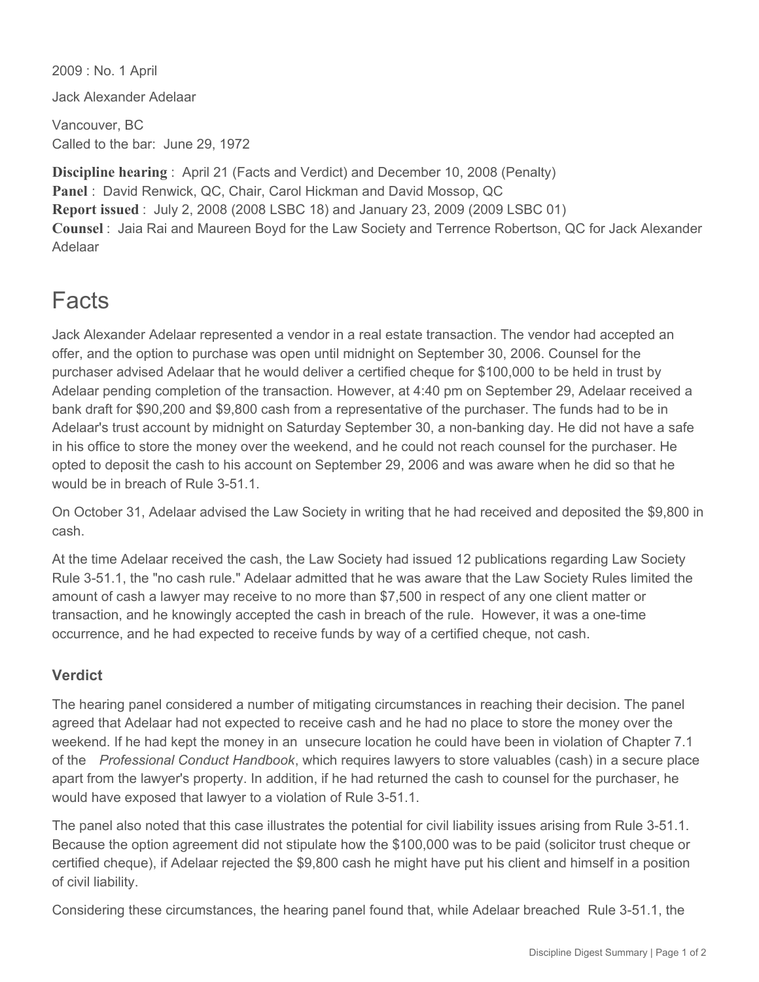2009 : No. 1 April Jack Alexander Adelaar

Vancouver, BC Called to the bar: June 29, 1972

**Discipline hearing** : April 21 (Facts and Verdict) and December 10, 2008 (Penalty) **Panel** : David Renwick, QC, Chair, Carol Hickman and David Mossop, QC **Report issued** : July 2, 2008 (2008 LSBC 18) and January 23, 2009 (2009 LSBC 01) **Counsel** : Jaia Rai and Maureen Boyd for the Law Society and Terrence Robertson, QC for Jack Alexander Adelaar

## Facts

Jack Alexander Adelaar represented a vendor in a real estate transaction. The vendor had accepted an offer, and the option to purchase was open until midnight on September 30, 2006. Counsel for the purchaser advised Adelaar that he would deliver a certified cheque for \$100,000 to be held in trust by Adelaar pending completion of the transaction. However, at 4:40 pm on September 29, Adelaar received a bank draft for \$90,200 and \$9,800 cash from a representative of the purchaser. The funds had to be in Adelaar's trust account by midnight on Saturday September 30, a non-banking day. He did not have a safe in his office to store the money over the weekend, and he could not reach counsel for the purchaser. He opted to deposit the cash to his account on September 29, 2006 and was aware when he did so that he would be in breach of Rule 3-51.1.

On October 31, Adelaar advised the Law Society in writing that he had received and deposited the \$9,800 in cash.

At the time Adelaar received the cash, the Law Society had issued 12 publications regarding Law Society Rule 3-51.1, the "no cash rule." Adelaar admitted that he was aware that the Law Society Rules limited the amount of cash a lawyer may receive to no more than \$7,500 in respect of any one client matter or transaction, and he knowingly accepted the cash in breach of the rule. However, it was a one-time occurrence, and he had expected to receive funds by way of a certified cheque, not cash.

## **Verdict**

The hearing panel considered a number of mitigating circumstances in reaching their decision. The panel agreed that Adelaar had not expected to receive cash and he had no place to store the money over the weekend. If he had kept the money in an unsecure location he could have been in violation of Chapter 7.1 of the *Professional Conduct Handbook*, which requires lawyers to store valuables (cash) in a secure place apart from the lawyer's property. In addition, if he had returned the cash to counsel for the purchaser, he would have exposed that lawyer to a violation of Rule 3-51.1.

The panel also noted that this case illustrates the potential for civil liability issues arising from Rule 3-51.1. Because the option agreement did not stipulate how the \$100,000 was to be paid (solicitor trust cheque or certified cheque), if Adelaar rejected the \$9,800 cash he might have put his client and himself in a position of civil liability.

Considering these circumstances, the hearing panel found that, while Adelaar breached Rule 3-51.1, the